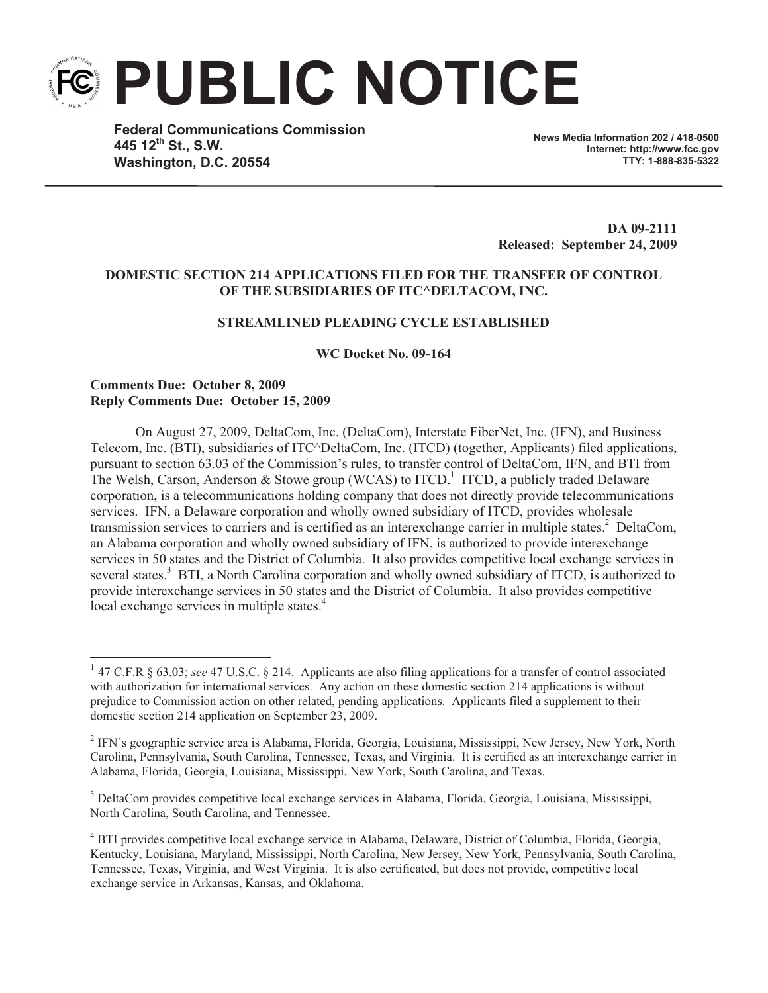**PUBLIC NOTICE**

**Federal Communications Commission 445 12th St., S.W. Washington, D.C. 20554**

**News Media Information 202 / 418-0500 Internet: http://www.fcc.gov TTY: 1-888-835-5322**

**DA 09-2111 Released: September 24, 2009**

## **DOMESTIC SECTION 214 APPLICATIONS FILED FOR THE TRANSFER OF CONTROL OF THE SUBSIDIARIES OF ITC^DELTACOM, INC.**

### **STREAMLINED PLEADING CYCLE ESTABLISHED**

**WC Docket No. 09-164**

## **Comments Due: October 8, 2009 Reply Comments Due: October 15, 2009**

On August 27, 2009, DeltaCom, Inc. (DeltaCom), Interstate FiberNet, Inc. (IFN), and Business Telecom, Inc. (BTI), subsidiaries of ITC^DeltaCom, Inc. (ITCD) (together, Applicants) filed applications, pursuant to section 63.03 of the Commission's rules, to transfer control of DeltaCom, IFN, and BTI from The Welsh, Carson, Anderson & Stowe group (WCAS) to  $ITCD$ .<sup>1</sup> ITCD, a publicly traded Delaware corporation, is a telecommunications holding company that does not directly provide telecommunications services. IFN, a Delaware corporation and wholly owned subsidiary of ITCD, provides wholesale transmission services to carriers and is certified as an interexchange carrier in multiple states.<sup>2</sup> DeltaCom, an Alabama corporation and wholly owned subsidiary of IFN, is authorized to provide interexchange services in 50 states and the District of Columbia. It also provides competitive local exchange services in several states.<sup>3</sup> BTI, a North Carolina corporation and wholly owned subsidiary of ITCD, is authorized to provide interexchange services in 50 states and the District of Columbia. It also provides competitive local exchange services in multiple states.<sup>4</sup>

<sup>&</sup>lt;sup>1</sup> 47 C.F.R § 63.03; see 47 U.S.C. § 214. Applicants are also filing applications for a transfer of control associated with authorization for international services. Any action on these domestic section 214 applications is without prejudice to Commission action on other related, pending applications. Applicants filed a supplement to their domestic section 214 application on September 23, 2009.

<sup>&</sup>lt;sup>2</sup> IFN's geographic service area is Alabama, Florida, Georgia, Louisiana, Mississippi, New Jersey, New York, North Carolina, Pennsylvania, South Carolina, Tennessee, Texas, and Virginia. It is certified as an interexchange carrier in Alabama, Florida, Georgia, Louisiana, Mississippi, New York, South Carolina, and Texas.

<sup>3</sup> DeltaCom provides competitive local exchange services in Alabama, Florida, Georgia, Louisiana, Mississippi, North Carolina, South Carolina, and Tennessee.

<sup>4</sup> BTI provides competitive local exchange service in Alabama, Delaware, District of Columbia, Florida, Georgia, Kentucky, Louisiana, Maryland, Mississippi, North Carolina, New Jersey, New York, Pennsylvania, South Carolina, Tennessee, Texas, Virginia, and West Virginia. It is also certificated, but does not provide, competitive local exchange service in Arkansas, Kansas, and Oklahoma.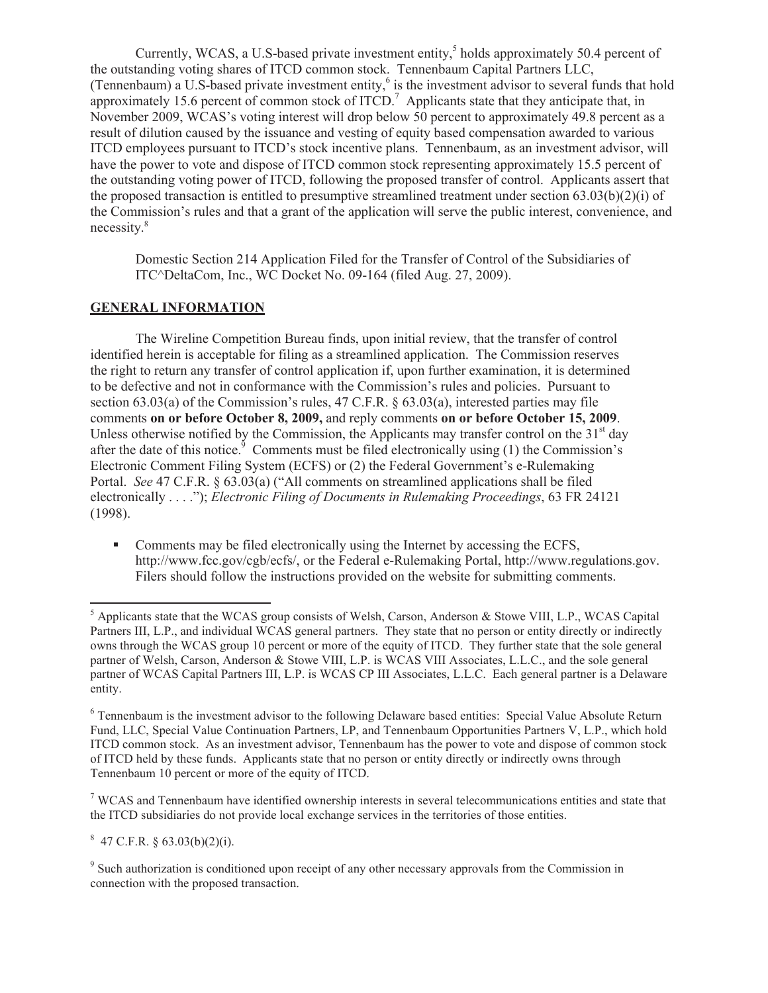Currently, WCAS, a U.S-based private investment entity,<sup>5</sup> holds approximately 50.4 percent of the outstanding voting shares of ITCD common stock. Tennenbaum Capital Partners LLC, (Tennenbaum) a U.S-based private investment entity, $6$  is the investment advisor to several funds that hold approximately 15.6 percent of common stock of  $ITCD$ .<sup>7</sup> Applicants state that they anticipate that, in November 2009, WCAS's voting interest will drop below 50 percent to approximately 49.8 percent as a result of dilution caused by the issuance and vesting of equity based compensation awarded to various ITCD employees pursuant to ITCD's stock incentive plans. Tennenbaum, as an investment advisor, will have the power to vote and dispose of ITCD common stock representing approximately 15.5 percent of the outstanding voting power of ITCD, following the proposed transfer of control. Applicants assert that the proposed transaction is entitled to presumptive streamlined treatment under section  $(63.03(b)(2)(i))$  of the Commission's rules and that a grant of the application will serve the public interest, convenience, and necessity. 8

Domestic Section 214 Application Filed for the Transfer of Control of the Subsidiaries of ITC^DeltaCom, Inc., WC Docket No. 09-164 (filed Aug. 27, 2009).

# **GENERAL INFORMATION**

The Wireline Competition Bureau finds, upon initial review, that the transfer of control identified herein is acceptable for filing as a streamlined application. The Commission reserves the right to return any transfer of control application if, upon further examination, it is determined to be defective and not in conformance with the Commission's rules and policies. Pursuant to section 63.03(a) of the Commission's rules, 47 C.F.R.  $\S$  63.03(a), interested parties may file comments **on or before October 8, 2009,** and reply comments **on or before October 15, 2009**. Unless otherwise notified by the Commission, the Applicants may transfer control on the  $31<sup>st</sup>$  day after the date of this notice. $\frac{9}{5}$  Comments must be filed electronically using (1) the Commission's Electronic Comment Filing System (ECFS) or (2) the Federal Government's e-Rulemaking Portal. *See* 47 C.F.R. § 63.03(a) ("All comments on streamlined applications shall be filed electronically . . . ."); *Electronic Filing of Documents in Rulemaking Proceedings*, 63 FR 24121 (1998).

• Comments may be filed electronically using the Internet by accessing the ECFS, http://www.fcc.gov/cgb/ecfs/, or the Federal e-Rulemaking Portal, http://www.regulations.gov. Filers should follow the instructions provided on the website for submitting comments.

<sup>7</sup> WCAS and Tennenbaum have identified ownership interests in several telecommunications entities and state that the ITCD subsidiaries do not provide local exchange services in the territories of those entities.

 $8\,$  47 C.F.R. § 63.03(b)(2)(i).

<sup>9</sup> Such authorization is conditioned upon receipt of any other necessary approvals from the Commission in connection with the proposed transaction.

<sup>5</sup> Applicants state that the WCAS group consists of Welsh, Carson, Anderson & Stowe VIII, L.P., WCAS Capital Partners III, L.P., and individual WCAS general partners. They state that no person or entity directly or indirectly owns through the WCAS group 10 percent or more of the equity of ITCD. They further state that the sole general partner of Welsh, Carson, Anderson & Stowe VIII, L.P. is WCAS VIII Associates, L.L.C., and the sole general partner of WCAS Capital Partners III, L.P. is WCAS CP III Associates, L.L.C. Each general partner is a Delaware entity.

<sup>6</sup> Tennenbaum is the investment advisor to the following Delaware based entities: Special Value Absolute Return Fund, LLC, Special Value Continuation Partners, LP, and Tennenbaum Opportunities Partners V, L.P., which hold ITCD common stock. As an investment advisor, Tennenbaum has the power to vote and dispose of common stock of ITCD held by these funds. Applicants state that no person or entity directly or indirectly owns through Tennenbaum 10 percent or more of the equity of ITCD.